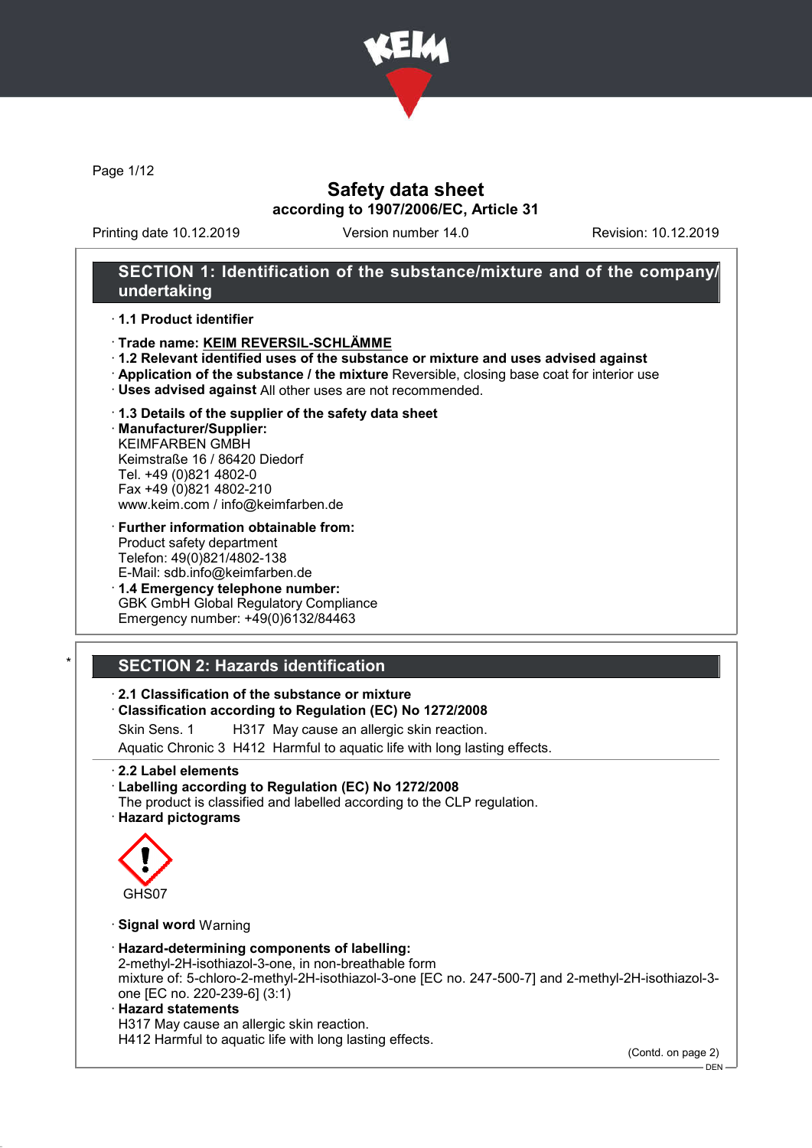

Page 1/12

## Safety data sheet according to 1907/2006/EC, Article 31

Printing date 10.12.2019 Version number 14.0 Revision: 10.12.2019

#### SECTION 1: Identification of the substance/mixture and of the company/ undertaking

#### · 1.1 Product identifier

- · Trade name: KEIM REVERSIL-SCHLÄMME
- · 1.2 Relevant identified uses of the substance or mixture and uses advised against
- · Application of the substance / the mixture Reversible, closing base coat for interior use
- · Uses advised against All other uses are not recommended.

#### · 1.3 Details of the supplier of the safety data sheet

· Manufacturer/Supplier: KEIMFARBEN GMBH Keimstraße 16 / 86420 Diedorf Tel. +49 (0)821 4802-0 Fax +49 (0)821 4802-210 www.keim.com / info@keimfarben.de

- · Further information obtainable from: Product safety department Telefon: 49(0)821/4802-138 E-Mail: sdb.info@keimfarben.de
- · 1.4 Emergency telephone number: GBK GmbH Global Regulatory Compliance Emergency number: +49(0)6132/84463

## **SECTION 2: Hazards identification**

#### · 2.1 Classification of the substance or mixture

#### · Classification according to Regulation (EC) No 1272/2008

Skin Sens. 1 H317 May cause an allergic skin reaction.

Aquatic Chronic 3 H412 Harmful to aquatic life with long lasting effects.

#### · 2.2 Label elements

· Labelling according to Regulation (EC) No 1272/2008 The product is classified and labelled according to the CLP regulation.

· Hazard pictograms



#### · Signal word Warning

#### · Hazard-determining components of labelling:

2-methyl-2H-isothiazol-3-one, in non-breathable form mixture of: 5-chloro-2-methyl-2H-isothiazol-3-one [EC no. 247-500-7] and 2-methyl-2H-isothiazol-3 one [EC no. 220-239-6] (3:1)

#### · Hazard statements

H317 May cause an allergic skin reaction.

H412 Harmful to aquatic life with long lasting effects.

(Contd. on page 2)

DEN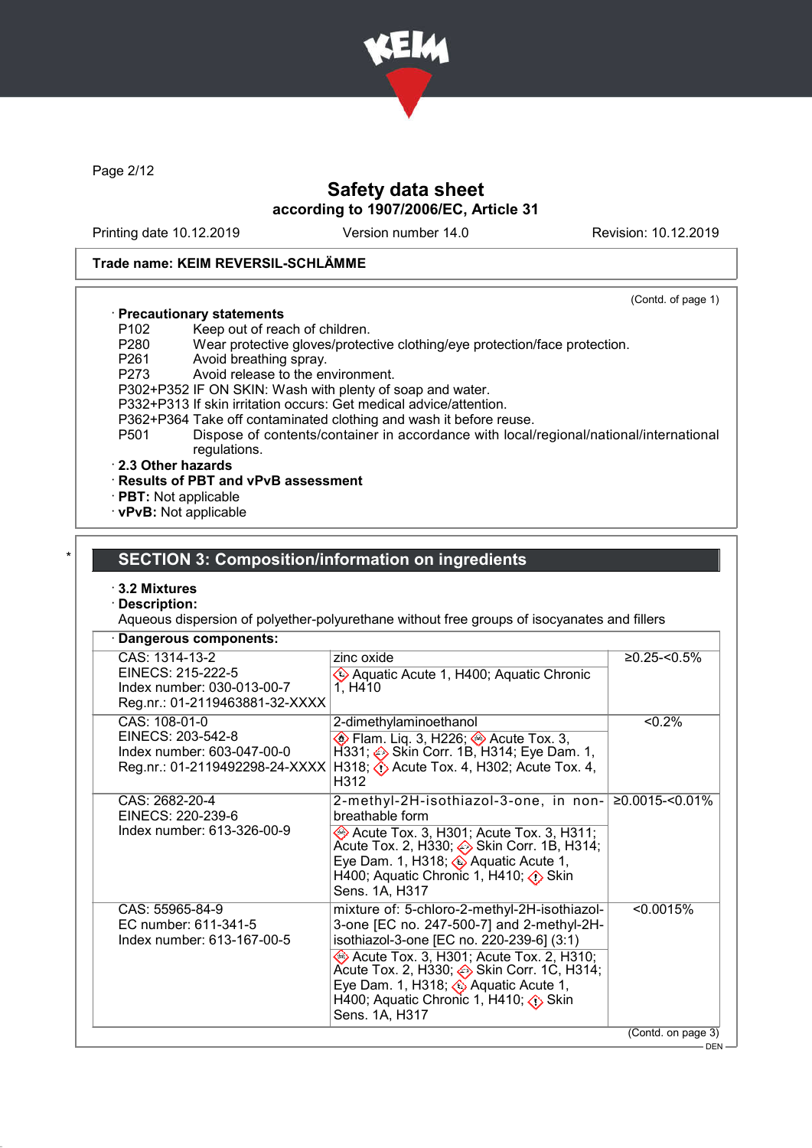

Page 2/12

## Safety data sheet according to 1907/2006/EC, Article 31

Printing date 10.12.2019 Version number 14.0 Revision: 10.12.2019

(Contd. of page 1)

#### Trade name: KEIM REVERSIL-SCHLÄMME

- · Precautionary statements
- P102 Keep out of reach of children.<br>P280 Wear protective gloves/proted P280 Wear protective gloves/protective clothing/eye protection/face protection.
- P261 Avoid breathing spray.<br>P273 Avoid release to the er
- Avoid release to the environment.
- P302+P352 IF ON SKIN: Wash with plenty of soap and water.
- P332+P313 If skin irritation occurs: Get medical advice/attention.
- P362+P364 Take off contaminated clothing and wash it before reuse.<br>P501 Dispose of contents/container in accordance with local
- Dispose of contents/container in accordance with local/regional/national/international regulations.

#### · 2.3 Other hazards

- · Results of PBT and vPvB assessment
- · PBT: Not applicable
- · vPvB: Not applicable

## **SECTION 3: Composition/information on ingredients**

- · 3.2 Mixtures
- · Description:

Aqueous dispersion of polyether-polyurethane without free groups of isocyanates and fillers

| CAS: 1314-13-2<br>zinc oxide<br>$≥0.25$ -<0.5%<br>EINECS: 215-222-5<br>Aquatic Acute 1, H400; Aquatic Chronic<br>Index number: 030-013-00-7<br>1, H410<br>Reg.nr.: 01-2119463881-32-XXXX<br>CAS: 108-01-0<br>$< 0.2\%$<br>2-dimethylaminoethanol<br>EINECS: 203-542-8<br>$\diamondsuit$ Flam. Liq. 3, H226; $\diamondsuit$ Acute Tox. 3,<br>$H331$ ; $\Leftrightarrow$ Skin Corr. 1B, H314; Eye Dam. 1,<br>Index number: 603-047-00-0<br>H318; $\langle \cdot \rangle$ Acute Tox. 4, H302; Acute Tox. 4,<br>Reg.nr.: 01-2119492298-24-XXXX<br>H312<br>2-methyl-2H-isothiazol-3-one, in non-<br>$≥0.0015$ -<0.01%<br>CAS: 2682-20-4<br>EINECS: 220-239-6<br>breathable form<br>Index number: 613-326-00-9<br>Acute Tox. 3, H301; Acute Tox. 3, H311;<br>Acute Tox. 2, H330; Skin Corr. 1B, H314;<br>Eye Dam. 1, H318; $\diamondsuit$ Aquatic Acute 1,<br>H400; Aquatic Chronic 1, H410; $\diamond$ Skin<br>Sens. 1A, H317<br>mixture of: 5-chloro-2-methyl-2H-isothiazol-<br>< 0.0015%<br>CAS: 55965-84-9<br>3-one [EC no. 247-500-7] and 2-methyl-2H-<br>EC number: 611-341-5<br>isothiazol-3-one [EC no. 220-239-6] (3:1)<br>Index number: 613-167-00-5<br>Acute Tox. 3, H301; Acute Tox. 2, H310;<br>Eye Dam. 1, H318; $\Diamond$ Aquatic Acute 1,<br>H400; Aquatic Chronic 1, H410; $\diamond$ Skin<br>Sens. 1A, H317 | Dangerous components: |                    |
|--------------------------------------------------------------------------------------------------------------------------------------------------------------------------------------------------------------------------------------------------------------------------------------------------------------------------------------------------------------------------------------------------------------------------------------------------------------------------------------------------------------------------------------------------------------------------------------------------------------------------------------------------------------------------------------------------------------------------------------------------------------------------------------------------------------------------------------------------------------------------------------------------------------------------------------------------------------------------------------------------------------------------------------------------------------------------------------------------------------------------------------------------------------------------------------------------------------------------------------------------------------------------------------------------------------------------|-----------------------|--------------------|
|                                                                                                                                                                                                                                                                                                                                                                                                                                                                                                                                                                                                                                                                                                                                                                                                                                                                                                                                                                                                                                                                                                                                                                                                                                                                                                                          |                       |                    |
|                                                                                                                                                                                                                                                                                                                                                                                                                                                                                                                                                                                                                                                                                                                                                                                                                                                                                                                                                                                                                                                                                                                                                                                                                                                                                                                          |                       |                    |
|                                                                                                                                                                                                                                                                                                                                                                                                                                                                                                                                                                                                                                                                                                                                                                                                                                                                                                                                                                                                                                                                                                                                                                                                                                                                                                                          |                       |                    |
|                                                                                                                                                                                                                                                                                                                                                                                                                                                                                                                                                                                                                                                                                                                                                                                                                                                                                                                                                                                                                                                                                                                                                                                                                                                                                                                          |                       |                    |
|                                                                                                                                                                                                                                                                                                                                                                                                                                                                                                                                                                                                                                                                                                                                                                                                                                                                                                                                                                                                                                                                                                                                                                                                                                                                                                                          |                       | (Contd. on page 3) |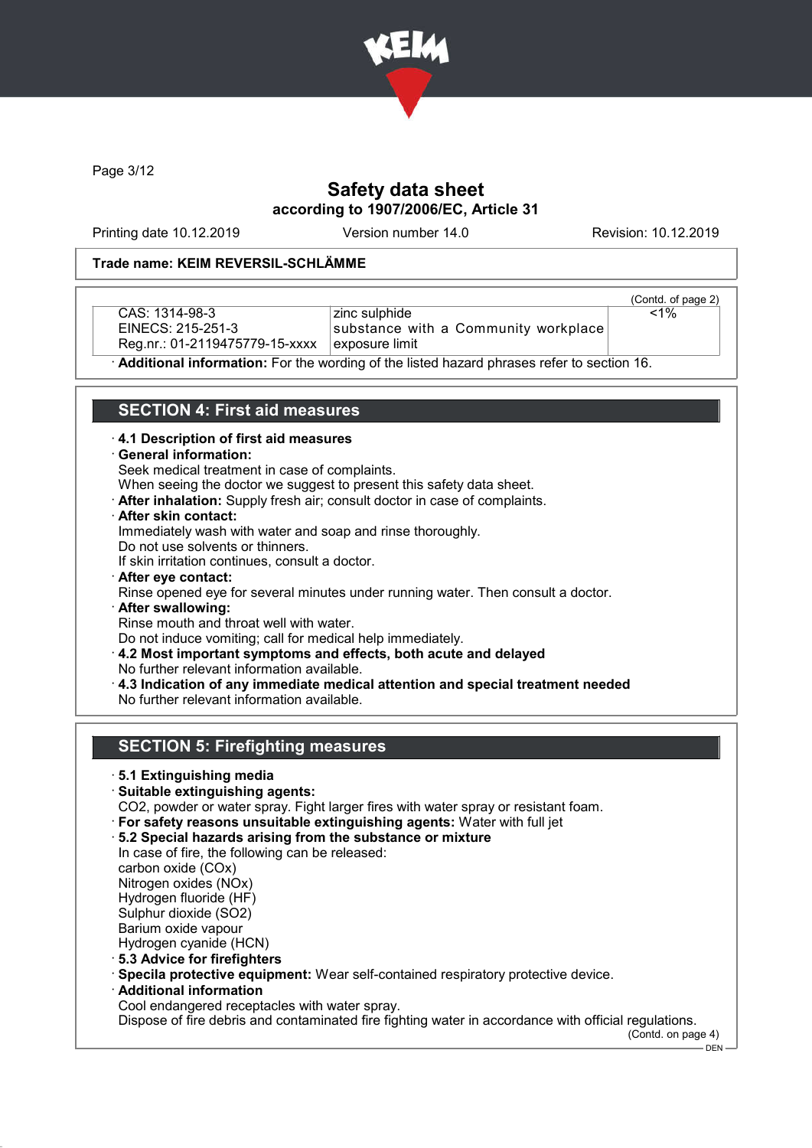

Page 3/12

## Safety data sheet according to 1907/2006/EC, Article 31

Printing date 10.12.2019 Version number 14.0 Revision: 10.12.2019

#### Trade name: KEIM REVERSIL-SCHLÄMME

CAS: 1314-98-3 EINECS: 215-251-3 Reg.nr.: 01-2119475779-15-xxxx

zinc sulphide substance with a Community workplace exposure limit

(Contd. of page 2)  $\overline{1\%}$ 

· Additional information: For the wording of the listed hazard phrases refer to section 16.

### SECTION 4: First aid measures

- · 4.1 Description of first aid measures
- · General information:

Seek medical treatment in case of complaints.

When seeing the doctor we suggest to present this safety data sheet.

- · After inhalation: Supply fresh air; consult doctor in case of complaints.
- · After skin contact:

Immediately wash with water and soap and rinse thoroughly.

Do not use solvents or thinners.

If skin irritation continues, consult a doctor.

· After eye contact:

Rinse opened eye for several minutes under running water. Then consult a doctor.

· After swallowing:

Rinse mouth and throat well with water.

Do not induce vomiting; call for medical help immediately.

- · 4.2 Most important symptoms and effects, both acute and delayed No further relevant information available.
- · 4.3 Indication of any immediate medical attention and special treatment needed No further relevant information available.

#### SECTION 5: Firefighting measures

#### · 5.1 Extinguishing media

- · Suitable extinguishing agents:
- CO2, powder or water spray. Fight larger fires with water spray or resistant foam.
- · For safety reasons unsuitable extinguishing agents: Water with full jet
- · 5.2 Special hazards arising from the substance or mixture In case of fire, the following can be released:

carbon oxide (COx)

Nitrogen oxides (NOx)

Hydrogen fluoride (HF)

Sulphur dioxide (SO2)

- Barium oxide vapour Hydrogen cyanide (HCN)
- · 5.3 Advice for firefighters
- · Specila protective equipment: Wear self-contained respiratory protective device.
- · Additional information

Cool endangered receptacles with water spray.

Dispose of fire debris and contaminated fire fighting water in accordance with official regulations.

(Contd. on page 4)

 $-$  DEN -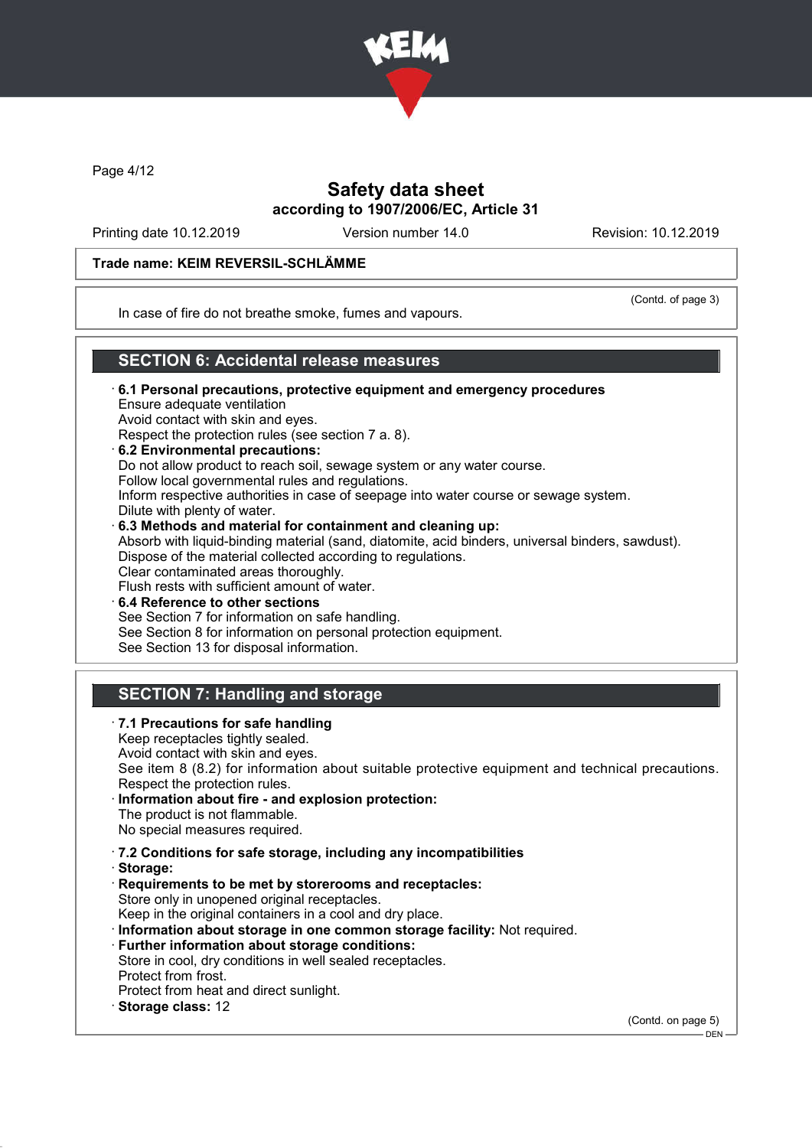

Page 4/12

## Safety data sheet according to 1907/2006/EC, Article 31

Printing date 10.12.2019 Version number 14.0 Revision: 10.12.2019

#### Trade name: KEIM REVERSIL-SCHLÄMME

(Contd. of page 3)

In case of fire do not breathe smoke, fumes and vapours.

### SECTION 6: Accidental release measures

- · 6.1 Personal precautions, protective equipment and emergency procedures Ensure adequate ventilation Avoid contact with skin and eyes. Respect the protection rules (see section 7 a. 8). · 6.2 Environmental precautions: Do not allow product to reach soil, sewage system or any water course. Follow local governmental rules and regulations. Inform respective authorities in case of seepage into water course or sewage system. Dilute with plenty of water. · 6.3 Methods and material for containment and cleaning up: Absorb with liquid-binding material (sand, diatomite, acid binders, universal binders, sawdust). Dispose of the material collected according to regulations. Clear contaminated areas thoroughly. Flush rests with sufficient amount of water.
- 6.4 Reference to other sections See Section 7 for information on safe handling. See Section 8 for information on personal protection equipment. See Section 13 for disposal information.

## SECTION 7: Handling and storage

· 7.1 Precautions for safe handling Keep receptacles tightly sealed. Avoid contact with skin and eyes. See item 8 (8.2) for information about suitable protective equipment and technical precautions. Respect the protection rules. Information about fire - and explosion protection: The product is not flammable. No special measures required. · 7.2 Conditions for safe storage, including any incompatibilities · Storage: · Requirements to be met by storerooms and receptacles: Store only in unopened original receptacles. Keep in the original containers in a cool and dry place. · Information about storage in one common storage facility: Not required. · Further information about storage conditions: Store in cool, dry conditions in well sealed receptacles. Protect from frost. Protect from heat and direct sunlight. · Storage class: 12 (Contd. on page 5)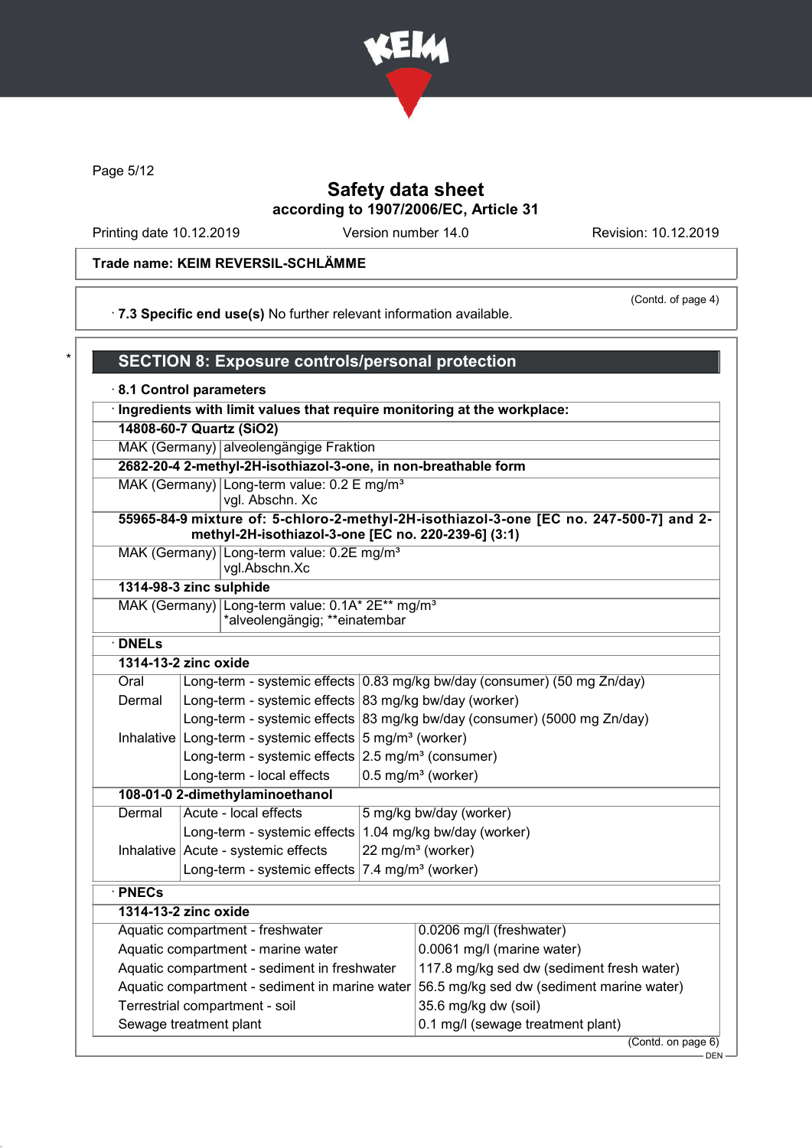

Page 5/12

## Safety data sheet according to 1907/2006/EC, Article 31

Printing date 10.12.2019 Version number 14.0 Revision: 10.12.2019

## Trade name: KEIM REVERSIL-SCHLÄMME

· 7.3 Specific end use(s) No further relevant information available.

(Contd. of page 4)

| 8.1 Control parameters                                                     |                          |                                                                                              |                                          |                                                                                        |  |  |  |
|----------------------------------------------------------------------------|--------------------------|----------------------------------------------------------------------------------------------|------------------------------------------|----------------------------------------------------------------------------------------|--|--|--|
| · Ingredients with limit values that require monitoring at the workplace:  |                          |                                                                                              |                                          |                                                                                        |  |  |  |
|                                                                            | 14808-60-7 Quartz (SiO2) |                                                                                              |                                          |                                                                                        |  |  |  |
| MAK (Germany) alveolengängige Fraktion                                     |                          |                                                                                              |                                          |                                                                                        |  |  |  |
|                                                                            |                          | 2682-20-4 2-methyl-2H-isothiazol-3-one, in non-breathable form                               |                                          |                                                                                        |  |  |  |
|                                                                            |                          | MAK (Germany) Long-term value: 0.2 E mg/m <sup>3</sup><br>vgl. Abschn. Xc                    |                                          |                                                                                        |  |  |  |
|                                                                            |                          | methyl-2H-isothiazol-3-one [EC no. 220-239-6] (3:1)                                          |                                          | 55965-84-9 mixture of: 5-chloro-2-methyl-2H-isothiazol-3-one [EC no. 247-500-7] and 2- |  |  |  |
|                                                                            |                          | MAK (Germany) Long-term value: 0.2E mg/m <sup>3</sup><br>vgl.Abschn.Xc                       |                                          |                                                                                        |  |  |  |
| 1314-98-3 zinc sulphide                                                    |                          |                                                                                              |                                          |                                                                                        |  |  |  |
|                                                                            |                          | MAK (Germany) Long-term value: 0.1A* 2E** mg/m <sup>3</sup><br>*alveolengängig; **einatembar |                                          |                                                                                        |  |  |  |
| $\cdot$ DNELs                                                              |                          |                                                                                              |                                          |                                                                                        |  |  |  |
| 1314-13-2 zinc oxide                                                       |                          |                                                                                              |                                          |                                                                                        |  |  |  |
| Oral                                                                       |                          |                                                                                              |                                          | Long-term - systemic effects 0.83 mg/kg bw/day (consumer) (50 mg Zn/day)               |  |  |  |
| Long-term - systemic effects $ 83 \text{ mg/kg}$ bw/day (worker)<br>Dermal |                          |                                                                                              |                                          |                                                                                        |  |  |  |
|                                                                            |                          | Long-term - systemic effects                                                                 |                                          | 83 mg/kg bw/day (consumer) (5000 mg Zn/day)                                            |  |  |  |
|                                                                            |                          | Inhalative Long-term - systemic effects                                                      | $\frac{1}{2}$ mg/m <sup>3</sup> (worker) |                                                                                        |  |  |  |
|                                                                            |                          | Long-term - systemic effects 2.5 mg/m <sup>3</sup> (consumer)                                |                                          |                                                                                        |  |  |  |
|                                                                            |                          | Long-term - local effects                                                                    |                                          | $0.5$ mg/m <sup>3</sup> (worker)                                                       |  |  |  |
|                                                                            |                          | 108-01-0 2-dimethylaminoethanol                                                              |                                          |                                                                                        |  |  |  |
| Dermal                                                                     |                          | Acute - local effects                                                                        |                                          | 5 mg/kg bw/day (worker)                                                                |  |  |  |
|                                                                            |                          | Long-term - systemic effects                                                                 |                                          | 1.04 mg/kg bw/day (worker)                                                             |  |  |  |
|                                                                            |                          | Inhalative Acute - systemic effects                                                          |                                          | 22 mg/m <sup>3</sup> (worker)                                                          |  |  |  |
|                                                                            |                          | Long-term - systemic effects                                                                 |                                          | $ 7.4 \text{ mg/m}^3$ (worker)                                                         |  |  |  |
| $\cdot$ PNECs                                                              |                          |                                                                                              |                                          |                                                                                        |  |  |  |
| 1314-13-2 zinc oxide                                                       |                          |                                                                                              |                                          |                                                                                        |  |  |  |
|                                                                            |                          | Aquatic compartment - freshwater                                                             |                                          | 0.0206 mg/l (freshwater)                                                               |  |  |  |
|                                                                            |                          | Aquatic compartment - marine water                                                           |                                          | 0.0061 mg/l (marine water)                                                             |  |  |  |
|                                                                            |                          | Aquatic compartment - sediment in freshwater                                                 |                                          | 117.8 mg/kg sed dw (sediment fresh water)                                              |  |  |  |
|                                                                            |                          | Aquatic compartment - sediment in marine water                                               |                                          | 56.5 mg/kg sed dw (sediment marine water)                                              |  |  |  |
|                                                                            |                          | Terrestrial compartment - soil                                                               |                                          | 35.6 mg/kg dw (soil)                                                                   |  |  |  |
| Sewage treatment plant                                                     |                          |                                                                                              |                                          | 0.1 mg/l (sewage treatment plant)                                                      |  |  |  |

 $-$  DEN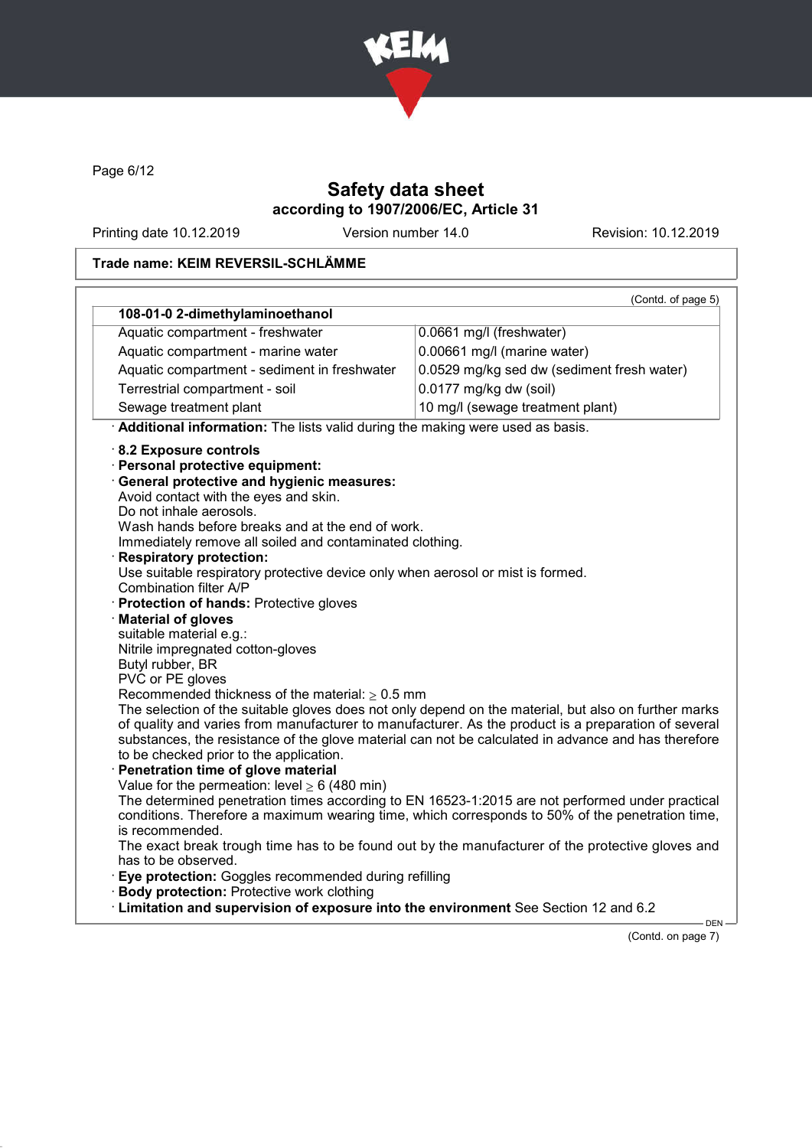

Page 6/12

## Safety data sheet according to 1907/2006/EC, Article 31

Printing date 10.12.2019 Version number 14.0 Revision: 10.12.2019

#### Trade name: KEIM REVERSIL-SCHLÄMME

|                                                                                                                                                                                                                                                                                                                                                                                                                                                                                                                                                                                                                                                                                                                                                                                                                                                                                                                                                                                                                                                                              | (Contd. of page 5)                                                                                                                                                                                                                                                                                                                                                                                                                                                                                                                                                                                                           |
|------------------------------------------------------------------------------------------------------------------------------------------------------------------------------------------------------------------------------------------------------------------------------------------------------------------------------------------------------------------------------------------------------------------------------------------------------------------------------------------------------------------------------------------------------------------------------------------------------------------------------------------------------------------------------------------------------------------------------------------------------------------------------------------------------------------------------------------------------------------------------------------------------------------------------------------------------------------------------------------------------------------------------------------------------------------------------|------------------------------------------------------------------------------------------------------------------------------------------------------------------------------------------------------------------------------------------------------------------------------------------------------------------------------------------------------------------------------------------------------------------------------------------------------------------------------------------------------------------------------------------------------------------------------------------------------------------------------|
| 108-01-0 2-dimethylaminoethanol                                                                                                                                                                                                                                                                                                                                                                                                                                                                                                                                                                                                                                                                                                                                                                                                                                                                                                                                                                                                                                              |                                                                                                                                                                                                                                                                                                                                                                                                                                                                                                                                                                                                                              |
| Aquatic compartment - freshwater                                                                                                                                                                                                                                                                                                                                                                                                                                                                                                                                                                                                                                                                                                                                                                                                                                                                                                                                                                                                                                             | 0.0661 mg/l (freshwater)                                                                                                                                                                                                                                                                                                                                                                                                                                                                                                                                                                                                     |
| Aquatic compartment - marine water                                                                                                                                                                                                                                                                                                                                                                                                                                                                                                                                                                                                                                                                                                                                                                                                                                                                                                                                                                                                                                           | 0.00661 mg/l (marine water)                                                                                                                                                                                                                                                                                                                                                                                                                                                                                                                                                                                                  |
| Aquatic compartment - sediment in freshwater                                                                                                                                                                                                                                                                                                                                                                                                                                                                                                                                                                                                                                                                                                                                                                                                                                                                                                                                                                                                                                 | 0.0529 mg/kg sed dw (sediment fresh water)                                                                                                                                                                                                                                                                                                                                                                                                                                                                                                                                                                                   |
| Terrestrial compartment - soil                                                                                                                                                                                                                                                                                                                                                                                                                                                                                                                                                                                                                                                                                                                                                                                                                                                                                                                                                                                                                                               | 0.0177 mg/kg dw (soil)                                                                                                                                                                                                                                                                                                                                                                                                                                                                                                                                                                                                       |
| Sewage treatment plant                                                                                                                                                                                                                                                                                                                                                                                                                                                                                                                                                                                                                                                                                                                                                                                                                                                                                                                                                                                                                                                       | 10 mg/l (sewage treatment plant)                                                                                                                                                                                                                                                                                                                                                                                                                                                                                                                                                                                             |
| Additional information: The lists valid during the making were used as basis.                                                                                                                                                                                                                                                                                                                                                                                                                                                                                                                                                                                                                                                                                                                                                                                                                                                                                                                                                                                                |                                                                                                                                                                                                                                                                                                                                                                                                                                                                                                                                                                                                                              |
| 8.2 Exposure controls<br>· Personal protective equipment:<br><b>General protective and hygienic measures:</b><br>Avoid contact with the eyes and skin.<br>Do not inhale aerosols.<br>Wash hands before breaks and at the end of work.<br>Immediately remove all soiled and contaminated clothing.<br><b>Respiratory protection:</b><br>Use suitable respiratory protective device only when aerosol or mist is formed.<br>Combination filter A/P<br>Protection of hands: Protective gloves<br><b>Material of gloves</b><br>suitable material e.g.:<br>Nitrile impregnated cotton-gloves<br>Butyl rubber, BR<br>PVC or PE gloves<br>Recommended thickness of the material: $\geq 0.5$ mm<br>to be checked prior to the application.<br>Penetration time of glove material<br>Value for the permeation: level $\geq 6$ (480 min)<br>is recommended.<br>has to be observed.<br>Eye protection: Goggles recommended during refilling<br><b>Body protection: Protective work clothing</b><br>· Limitation and supervision of exposure into the environment See Section 12 and 6.2 | The selection of the suitable gloves does not only depend on the material, but also on further marks<br>of quality and varies from manufacturer to manufacturer. As the product is a preparation of several<br>substances, the resistance of the glove material can not be calculated in advance and has therefore<br>The determined penetration times according to EN 16523-1:2015 are not performed under practical<br>conditions. Therefore a maximum wearing time, which corresponds to 50% of the penetration time,<br>The exact break trough time has to be found out by the manufacturer of the protective gloves and |

(Contd. on page 7)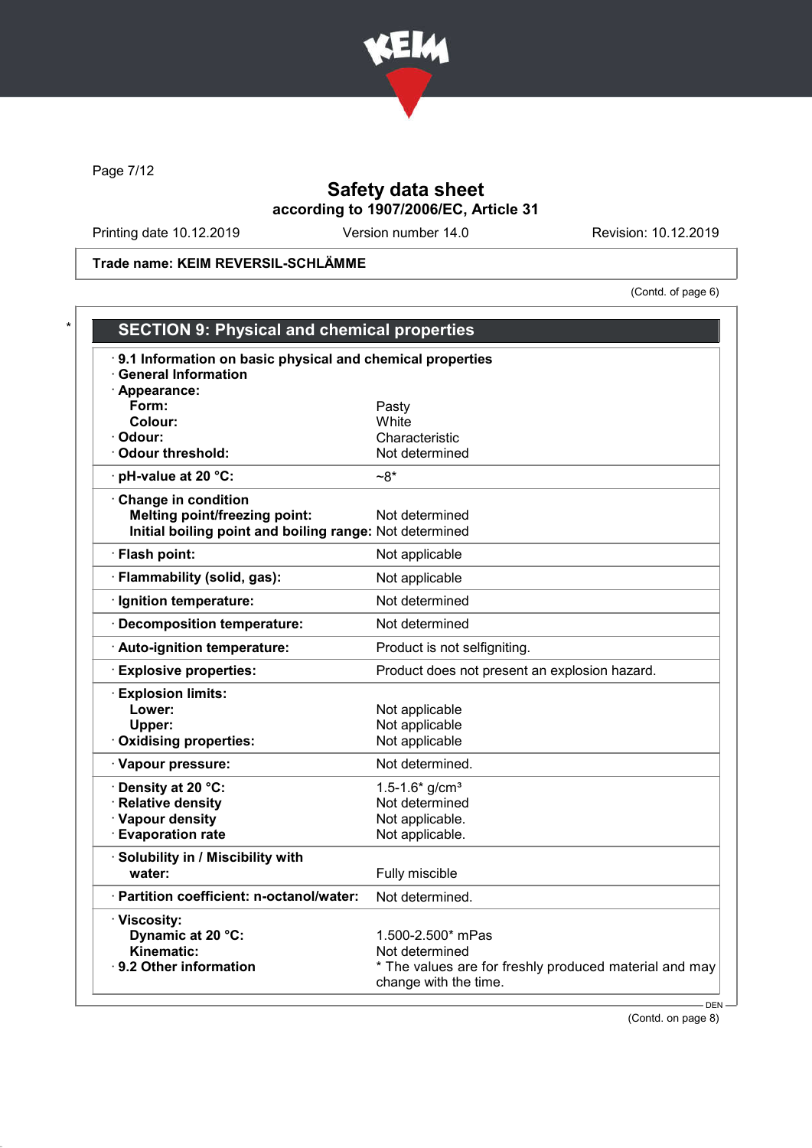

Page 7/12

## Safety data sheet according to 1907/2006/EC, Article 31

Printing date 10.12.2019 Version number 14.0 Revision: 10.12.2019

Trade name: KEIM REVERSIL-SCHLÄMME

(Contd. of page 6)

| 9.1 Information on basic physical and chemical properties<br><b>General Information</b> |                                                        |
|-----------------------------------------------------------------------------------------|--------------------------------------------------------|
| · Appearance:                                                                           |                                                        |
| Form:                                                                                   | Pasty                                                  |
| Colour:                                                                                 | White                                                  |
| · Odour:                                                                                | Characteristic                                         |
| · Odour threshold:                                                                      | Not determined                                         |
| $\cdot$ pH-value at 20 °C:                                                              | $-8^*$                                                 |
| Change in condition                                                                     |                                                        |
| <b>Melting point/freezing point:</b>                                                    | Not determined                                         |
| Initial boiling point and boiling range: Not determined                                 |                                                        |
| · Flash point:                                                                          | Not applicable                                         |
| · Flammability (solid, gas):                                                            | Not applicable                                         |
| · Ignition temperature:                                                                 | Not determined                                         |
| · Decomposition temperature:                                                            | Not determined                                         |
| Auto-ignition temperature:                                                              | Product is not selfigniting.                           |
| <b>Explosive properties:</b>                                                            | Product does not present an explosion hazard.          |
| <b>Explosion limits:</b>                                                                |                                                        |
| Lower:                                                                                  | Not applicable                                         |
| Upper:                                                                                  | Not applicable                                         |
| Oxidising properties:                                                                   | Not applicable                                         |
| · Vapour pressure:                                                                      | Not determined.                                        |
| · Density at 20 °C:                                                                     | 1.5-1.6* $g/cm^{3}$                                    |
| · Relative density                                                                      | Not determined                                         |
| · Vapour density                                                                        | Not applicable.                                        |
| <b>Evaporation rate</b>                                                                 | Not applicable.                                        |
| · Solubility in / Miscibility with                                                      |                                                        |
| water:                                                                                  | Fully miscible                                         |
| · Partition coefficient: n-octanol/water:                                               | Not determined.                                        |
| · Viscosity:                                                                            |                                                        |
| Dynamic at 20 °C:                                                                       | 1.500-2.500* mPas                                      |
| Kinematic:                                                                              | Not determined                                         |
| · 9.2 Other information                                                                 | * The values are for freshly produced material and may |

(Contd. on page 8)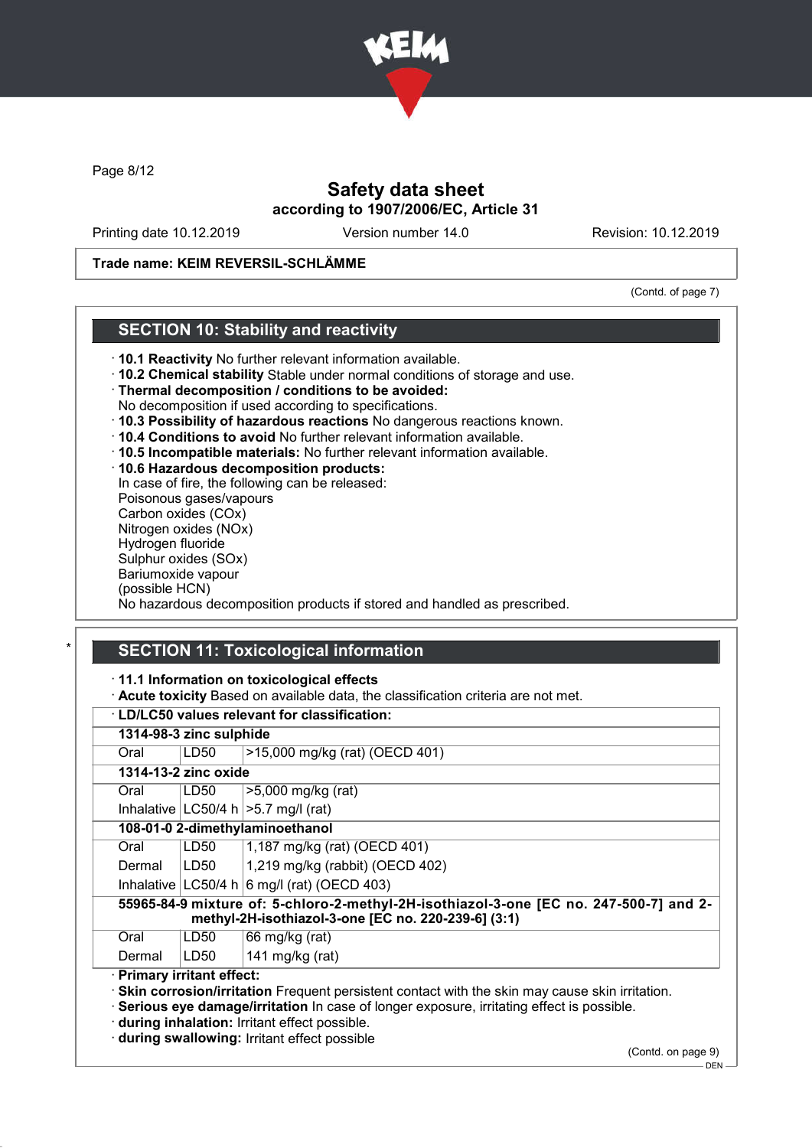

Page 8/12

## Safety data sheet according to 1907/2006/EC, Article 31

Printing date 10.12.2019 Version number 14.0 Revision: 10.12.2019

#### Trade name: KEIM REVERSIL-SCHLÄMME

(Contd. of page 7)

#### SECTION 10: Stability and reactivity

- · 10.1 Reactivity No further relevant information available.
- · 10.2 Chemical stability Stable under normal conditions of storage and use.
- · Thermal decomposition / conditions to be avoided:
- No decomposition if used according to specifications.
- · 10.3 Possibility of hazardous reactions No dangerous reactions known.
- · 10.4 Conditions to avoid No further relevant information available.
- · 10.5 Incompatible materials: No further relevant information available.
- · 10.6 Hazardous decomposition products:

In case of fire, the following can be released: Poisonous gases/vapours Carbon oxides (COx) Nitrogen oxides (NOx) Hydrogen fluoride Sulphur oxides (SOx) Bariumoxide vapour (possible HCN) No hazardous decomposition products if stored and handled as prescribed.

## **SECTION 11: Toxicological information**

· 11.1 Information on toxicological effects

· Acute toxicity Based on available data, the classification criteria are not met.

#### · LD/LC50 values relevant for classification: 1314-98-3 zinc sulphide Oral LD50 >15,000 mg/kg (rat) (OECD 401) 1314-13-2 zinc oxide Oral LD50 >5,000 mg/kg (rat) Inhalative  $|LOG0/4 h| > 5.7 mg/l$  (rat) 108-01-0 2-dimethylaminoethanol Oral | LD50 | 1,187 mg/kg (rat) (OECD 401) Dermal  $\vert$  LD50  $\vert$  1,219 mg/kg (rabbit) (OECD 402) Inhalative  $|LC50/4 h|6 mg/1$  (rat) (OECD 403) 55965-84-9 mixture of: 5-chloro-2-methyl-2H-isothiazol-3-one [EC no. 247-500-7] and 2 methyl-2H-isothiazol-3-one [EC no. 220-239-6] (3:1) Oral  $|LD50|$  66 mg/kg (rat) Dermal  $|LD50|$  141 mg/kg (rat) · Primary irritant effect: · Skin corrosion/irritation Frequent persistent contact with the skin may cause skin irritation. · Serious eye damage/irritation In case of longer exposure, irritating effect is possible. · during inhalation: Irritant effect possible.

· during swallowing: Irritant effect possible

(Contd. on page 9)

 $-$  DEN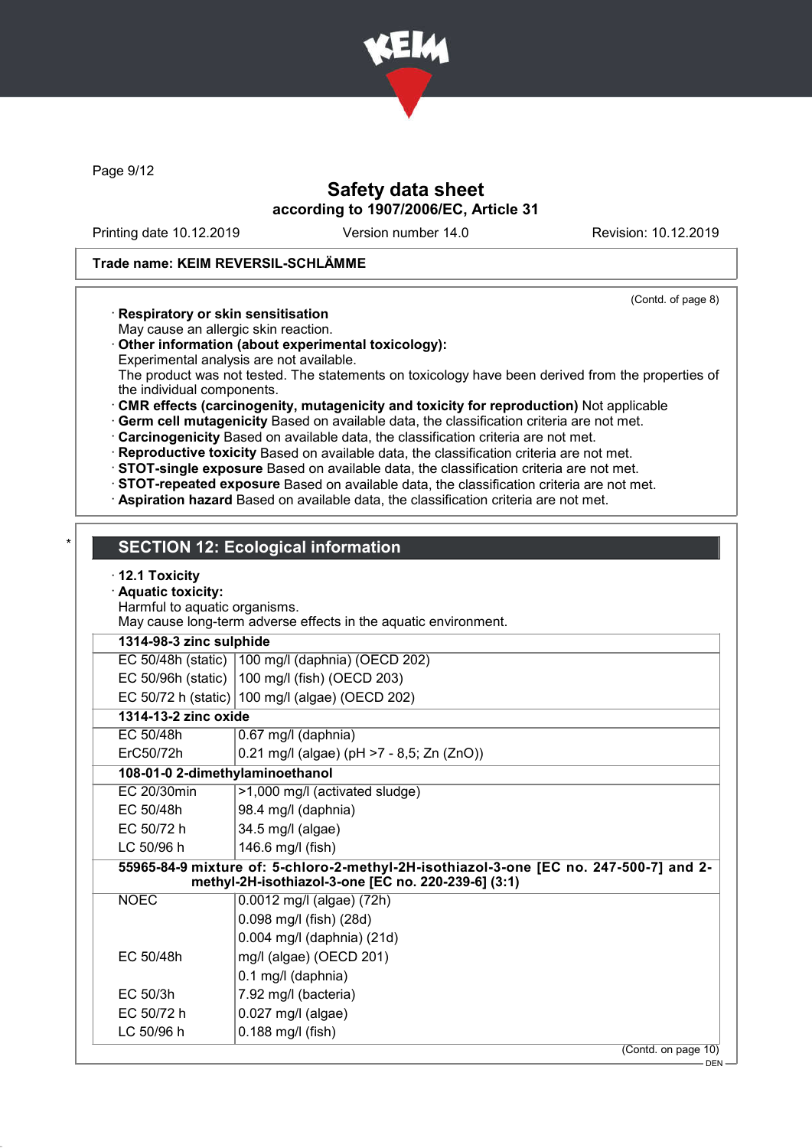

Page 9/12

## Safety data sheet according to 1907/2006/EC, Article 31

Printing date 10.12.2019 Version number 14.0 Revision: 10.12.2019

#### Trade name: KEIM REVERSIL-SCHLÄMME

(Contd. of page 8)

- · Respiratory or skin sensitisation
- May cause an allergic skin reaction.
- · Other information (about experimental toxicology):
- Experimental analysis are not available.

The product was not tested. The statements on toxicology have been derived from the properties of the individual components.

- · CMR effects (carcinogenity, mutagenicity and toxicity for reproduction) Not applicable
- · Germ cell mutagenicity Based on available data, the classification criteria are not met.

· Carcinogenicity Based on available data, the classification criteria are not met.

· Reproductive toxicity Based on available data, the classification criteria are not met.

· STOT-single exposure Based on available data, the classification criteria are not met.

· STOT-repeated exposure Based on available data, the classification criteria are not met.

· Aspiration hazard Based on available data, the classification criteria are not met.

### **SECTION 12: Ecological information**

#### · 12.1 Toxicity

· Aquatic toxicity:

Harmful to aquatic organisms.

May cause long-term adverse effects in the aquatic environment.

#### 1314-98-3 zinc sulphide

EC 50/48h (static) 100 mg/l (daphnia) (OECD 202) EC 50/96h (static) 100 mg/l (fish) (OECD 203)

EC 50/72 h (static)  $100 \text{ mol}$  (algae) (OECD 202)

| 1314-13-2 zinc oxide   |                                                   |
|------------------------|---------------------------------------------------|
| EC 50/48h              | $ 0.67 \text{ mg/l}$ (daphnia)                    |
| FrC <sub>50</sub> /72h | $ 0.21 \text{ mol}$ (algae) (pH >7 - 8.5; Zn (Zn) |

| 108-01-0 2-dimethylaminoethanol |  |  |  |                                                      |  |  |  |  |  |
|---------------------------------|--|--|--|------------------------------------------------------|--|--|--|--|--|
| ErC50/72h                       |  |  |  | $ 0.21 \text{ mg/l}$ (algae) (pH >7 - 8,5; Zn (ZnO)) |  |  |  |  |  |

| EC 20/30min | $ >1,000$ mg/l (activated sludge) |
|-------------|-----------------------------------|
| EC 50/48h   | $ 98.4 \text{ mg/l}$ (daphnia)    |
| EC 50/72 h  | $34.5$ mg/l (algae)               |

# LC 50/96 h  $|146.6$  mg/l (fish)

55965-84-9 mixture of: 5-chloro-2-methyl-2H-isothiazol-3-one [EC no. 247-500-7] and 2 methyl-2H-isothiazol-3-one [EC no. 220-239-6] (3:1)

| <b>NOEC</b> | 0.0012 mg/l (algae) (72h)  |
|-------------|----------------------------|
|             | 0.098 mg/l (fish) (28d)    |
|             | 0.004 mg/l (daphnia) (21d) |
| EC 50/48h   | mg/l (algae) (OECD 201)    |
|             | 0.1 mg/l (daphnia)         |
| $EC$ 50/3h  | 7.92 mg/l (bacteria)       |
| EC 50/72 h  | $0.027$ mg/l (algae)       |
| LC 50/96 h  | $0.188$ mg/l (fish)        |
|             |                            |

(Contd. on page 10)

 $-DEN$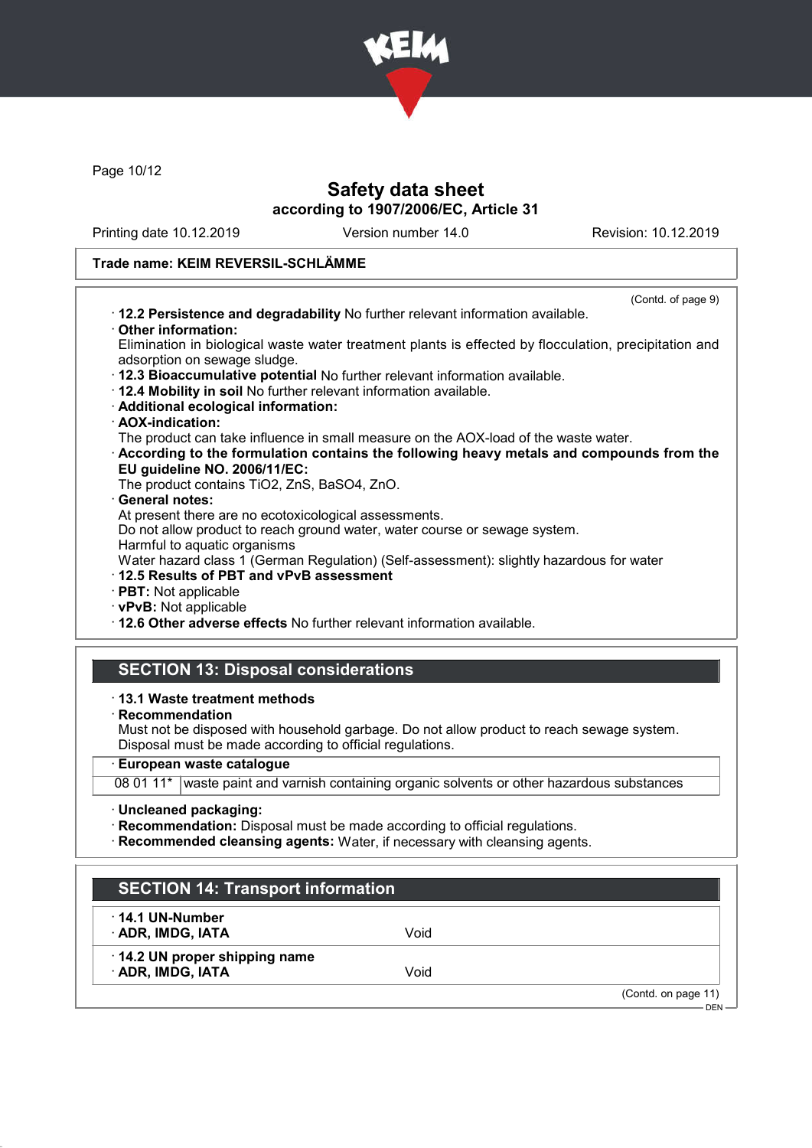

Page 10/12

## Safety data sheet according to 1907/2006/EC, Article 31

Printing date 10.12.2019 Version number 14.0 Revision: 10.12.2019

## Trade name: KEIM REVERSIL-SCHLÄMME

| (Contd. of page 9)                                                                                         |
|------------------------------------------------------------------------------------------------------------|
| . 12.2 Persistence and degradability No further relevant information available.                            |
| Other information:                                                                                         |
| Elimination in biological waste water treatment plants is effected by flocculation, precipitation and      |
| adsorption on sewage sludge.                                                                               |
| . 12.3 Bioaccumulative potential No further relevant information available.                                |
| · 12.4 Mobility in soil No further relevant information available.                                         |
| · Additional ecological information:                                                                       |
| · AOX-indication:                                                                                          |
| The product can take influence in small measure on the AOX-load of the waste water.                        |
| According to the formulation contains the following heavy metals and compounds from the                    |
| EU guideline NO. 2006/11/EC:                                                                               |
| The product contains TiO2, ZnS, BaSO4, ZnO.                                                                |
| · General notes:                                                                                           |
| At present there are no ecotoxicological assessments.                                                      |
| Do not allow product to reach ground water, water course or sewage system.<br>Harmful to aquatic organisms |
| Water hazard class 1 (German Regulation) (Self-assessment): slightly hazardous for water                   |
| 12.5 Results of PBT and vPvB assessment                                                                    |
| · PBT: Not applicable                                                                                      |
| · vPvB: Not applicable                                                                                     |
| . 12.6 Other adverse effects No further relevant information available.                                    |
|                                                                                                            |
|                                                                                                            |
| <b>SECTION 13: Disposal considerations</b>                                                                 |
| ⋅13.1 Waste treatment methods                                                                              |
| $\cdot$ Recommendation                                                                                     |
| Must not be disposed with household garbage. Do not allow product to reach sewage system.                  |
| Disposal must be made according to official regulations.                                                   |
| الماجهم ولمجاوره<br>m.                                                                                     |

#### · European waste catalogue

08 01 11\* waste paint and varnish containing organic solvents or other hazardous substances

· Uncleaned packaging:

- · Recommendation: Disposal must be made according to official regulations.
- · Recommended cleansing agents: Water, if necessary with cleansing agents.

| $\cdot$ 14.1 UN-Number       |      |  |
|------------------------------|------|--|
| · ADR, IMDG, IATA            | Void |  |
| 14.2 UN proper shipping name |      |  |
| · ADR, IMDG, IATA            | Void |  |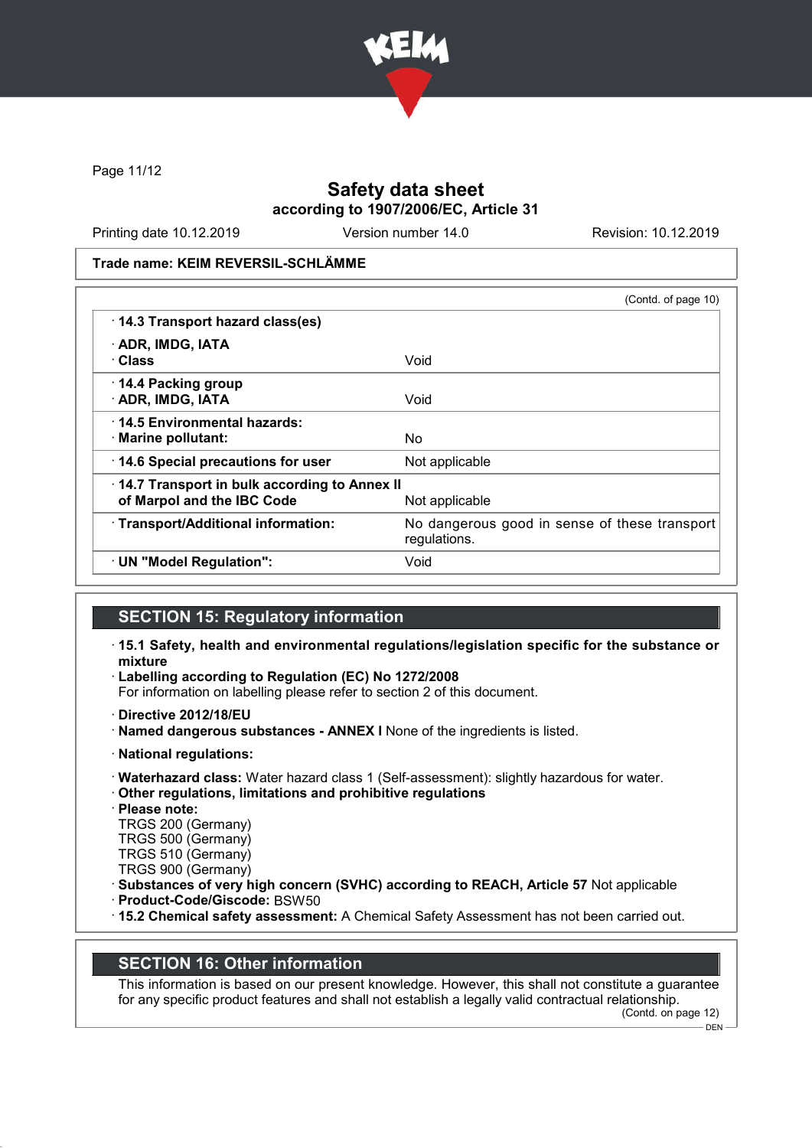

Page 11/12

## Safety data sheet according to 1907/2006/EC, Article 31

Printing date 10.12.2019 Version number 14.0 Revision: 10.12.2019

Trade name: KEIM REVERSIL-SCHLÄMME

|                                                                            | (Contd. of page 10)                                           |
|----------------------------------------------------------------------------|---------------------------------------------------------------|
| 14.3 Transport hazard class(es)                                            |                                                               |
| · ADR, IMDG, IATA<br>· Class                                               | Void                                                          |
| 14.4 Packing group<br>· ADR, IMDG, IATA                                    | Void                                                          |
| 14.5 Environmental hazards:<br>· Marine pollutant:                         | No                                                            |
| 14.6 Special precautions for user                                          | Not applicable                                                |
| 14.7 Transport in bulk according to Annex II<br>of Marpol and the IBC Code | Not applicable                                                |
| · Transport/Additional information:                                        | No dangerous good in sense of these transport<br>regulations. |
| · UN "Model Regulation":                                                   | Void                                                          |

#### SECTION 15: Regulatory information

- · 15.1 Safety, health and environmental regulations/legislation specific for the substance or mixture
- · Labelling according to Regulation (EC) No 1272/2008

For information on labelling please refer to section 2 of this document.

- · Directive 2012/18/EU
- · Named dangerous substances ANNEX I None of the ingredients is listed.
- · National regulations:
- · Waterhazard class: Water hazard class 1 (Self-assessment): slightly hazardous for water.
- · Other regulations, limitations and prohibitive regulations
- · Please note:
- TRGS 200 (Germany) TRGS 500 (Germany)
- TRGS 510 (Germany)
- TRGS 900 (Germany)
- · Substances of very high concern (SVHC) according to REACH, Article 57 Not applicable
- · Product-Code/Giscode: BSW50
- · 15.2 Chemical safety assessment: A Chemical Safety Assessment has not been carried out.

#### SECTION 16: Other information

This information is based on our present knowledge. However, this shall not constitute a guarantee for any specific product features and shall not establish a legally valid contractual relationship.

(Contd. on page 12)